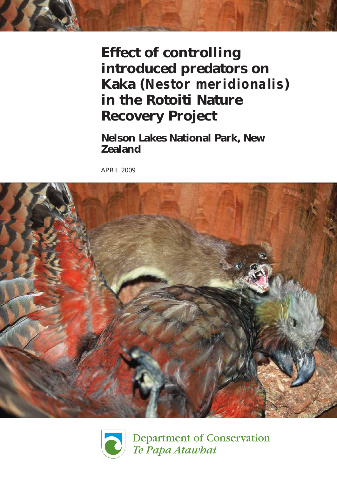Effect of controlling introduced predators on Kaka (Nestor meridionalis) in the Rotoiti Nature Recovery Project

Nelson Lakes National Park, New Zealand

APRIL 2009





**Department of Conservation** Te Papa Atawbai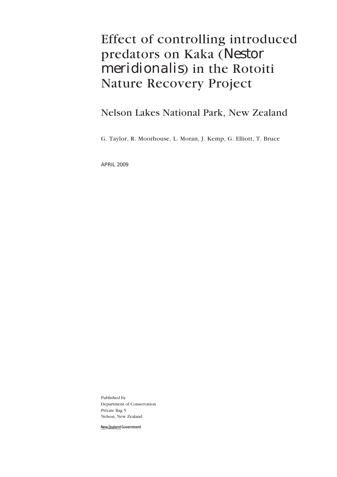# Effect of controlling introduced predators on Kaka (Nestor meridionalis) in the Rotoiti Nature Recovery Project

## Nelson Lakes National Park, New Zealand

G. Taylor, R. Moorhouse, L. Moran, J. Kemp, G. Elliott, T. Bruce

APRIL 2009

Published by Department of Conservation Private Bag 5 Nelson, New Zealand

New Zealand Government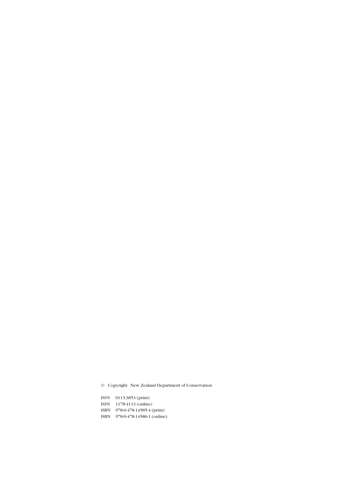© Copyright New Zealand Department of Conservation

ISSN 0113-3853 (print) ISSN 1178-4113 (online) ISBN 978-0-478-14585-4 (print) ISBN 978-0-478-14586-1 (online)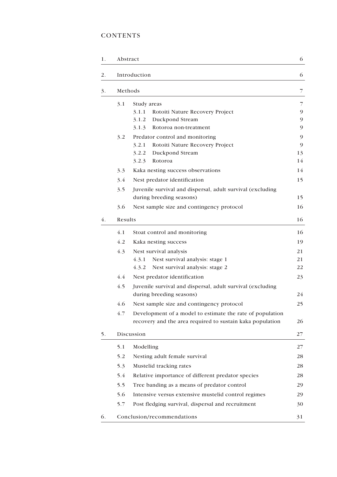## **CONTENTS**

| 1. | Abstract |                                                            | 6  |  |  |  |
|----|----------|------------------------------------------------------------|----|--|--|--|
| 2. |          | Introduction                                               | 6  |  |  |  |
| 3. |          | Methods                                                    | 7  |  |  |  |
|    | 3.1      | Study areas                                                | 7  |  |  |  |
|    |          | 3.1.1<br>Rotoiti Nature Recovery Project                   | 9  |  |  |  |
|    |          | 3.1.2<br>Duckpond Stream                                   | 9  |  |  |  |
|    |          | Rotoroa non-treatment<br>3.1.3                             | 9  |  |  |  |
|    | 3.2      | Predator control and monitoring                            | 9  |  |  |  |
|    |          | 3.2.1<br>Rotoiti Nature Recovery Project                   | 9  |  |  |  |
|    |          | 3.2.2<br>Duckpond Stream                                   | 13 |  |  |  |
|    |          | 3.2.3<br>Rotoroa                                           | 14 |  |  |  |
|    | 3.3      | Kaka nesting success observations                          | 14 |  |  |  |
|    | 3.4      | Nest predator identification                               | 15 |  |  |  |
|    | 3.5      | Juvenile survival and dispersal, adult survival (excluding |    |  |  |  |
|    |          | during breeding seasons)                                   | 15 |  |  |  |
|    | 3.6      | Nest sample size and contingency protocol                  | 16 |  |  |  |
| 4. | Results  |                                                            | 16 |  |  |  |
|    | 4.1      | Stoat control and monitoring                               | 16 |  |  |  |
|    | 4.2      | Kaka nesting success                                       | 19 |  |  |  |
|    | 4.3      | Nest survival analysis                                     | 21 |  |  |  |
|    |          | Nest survival analysis: stage 1<br>4.3.1                   | 21 |  |  |  |
|    |          | Nest survival analysis: stage 2<br>4.3.2                   | 22 |  |  |  |
|    | 4.4      | Nest predator identification                               | 23 |  |  |  |
|    | 4.5      | Juvenile survival and dispersal, adult survival (excluding |    |  |  |  |
|    |          | during breeding seasons)                                   | 24 |  |  |  |
|    | 4.6      | Nest sample size and contingency protocol                  | 25 |  |  |  |
|    | 4.7      | Development of a model to estimate the rate of population  |    |  |  |  |
|    |          | recovery and the area required to sustain kaka population  | 26 |  |  |  |
| 5. |          | Discussion                                                 | 27 |  |  |  |
|    | 5.1      | Modelling                                                  | 27 |  |  |  |
|    | 5.2      | Nesting adult female survival                              | 28 |  |  |  |
|    | 5.3      | Mustelid tracking rates                                    | 28 |  |  |  |
|    | 5.4      | Relative importance of different predator species          | 28 |  |  |  |
|    | 5.5      | Tree banding as a means of predator control                |    |  |  |  |
|    | 5.6      | Intensive versus extensive mustelid control regimes        | 29 |  |  |  |
|    | 5.7      | Post fledging survival, dispersal and recruitment          | 30 |  |  |  |
| 6. |          | Conclusion/recommendations                                 | 31 |  |  |  |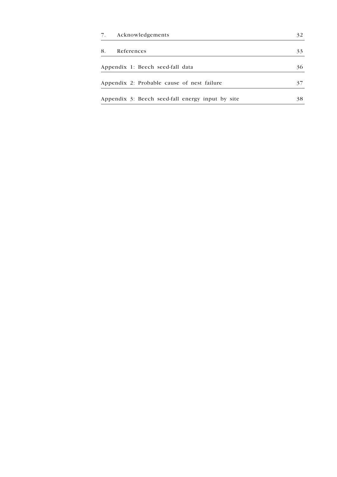| Acknowledgements | 32                                                                                                                                 |
|------------------|------------------------------------------------------------------------------------------------------------------------------------|
| References       | 33                                                                                                                                 |
|                  | 36                                                                                                                                 |
|                  | 37                                                                                                                                 |
|                  | 38                                                                                                                                 |
|                  | Appendix 1: Beech seed-fall data<br>Appendix 2: Probable cause of nest failure<br>Appendix 3: Beech seed-fall energy input by site |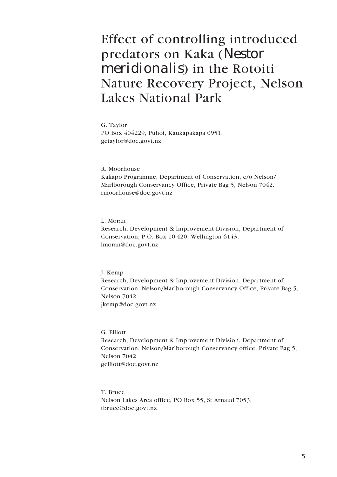# Effect of controlling introduced predators on Kaka (Nestor meridionalis) in the Rotoiti Nature Recovery Project, Nelson Lakes National Park

G. Taylor PO Box 404229, Puhoi, Kaukapakapa 0951. getaylor@doc.govt.nz

R. Moorhouse Kakapo Programme, Department of Conservation, c/o Nelson/ Marlborough Conservancy Office, Private Bag 5, Nelson 7042. rmoorhouse@doc.govt.nz

L. Moran Research, Development & Improvement Division, Department of Conservation, P.O. Box 10-420, Wellington 6143. lmoran@doc.govt.nz

J. Kemp

Research, Development & Improvement Division, Department of Conservation, Nelson/Marlborough Conservancy Office, Private Bag 5, Nelson 7042. jkemp@doc.govt.nz

G. Elliott Research, Development & Improvement Division, Department of Conservation, Nelson/Marlborough Conservancy office, Private Bag 5, Nelson 7042. gelliott@doc.govt.nz

T. Bruce Nelson Lakes Area office, PO Box 55, St Arnaud 7053. tbruce@doc.govt.nz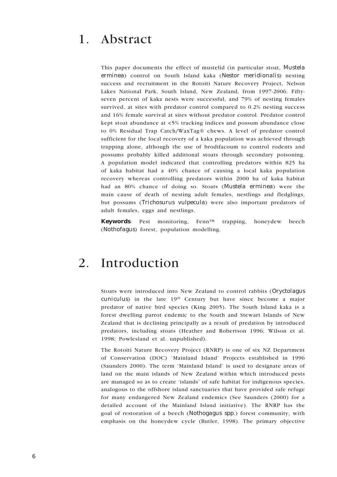## 1. Abstract

This paper documents the effect of mustelid (in particular stoat, Mustela erminea) control on South Island kaka (Nestor meridionalis) nesting success and recruitment in the Rotoiti Nature Recovery Project, Nelson Lakes National Park, South Island, New Zealand, from 1997-2006. Fiftyseven percent of kaka nests were successful, and 79% of nesting females survived, at sites with predator control compared to 0.2% nesting success and 16% female survival at sites without predator control. Predator control kept stoat abundance at <5% tracking indices and possum abundance close to 0% Residual Trap Catch/WaxTag® chews. A level of predator control sufficient for the local recovery of a kaka population was achieved through trapping alone, although the use of brodifacoum to control rodents and possums probably killed additional stoats through secondary poisoning. A population model indicated that controlling predators within 825 ha of kaka habitat had a 40% chance of causing a local kaka population recovery whereas controlling predators within 2000 ha of kaka habitat had an 80% chance of doing so. Stoats (Mustela erminea) were the main cause of death of nesting adult females, nestlings and fledglings, but possums (Trichosurus vulpecula) were also important predators of adult females, eggs and nestlings.

Keywords: Pest monitoring, Fenn™ trapping, honeydew beech (Nothofagus) forest, population modelling.

## 2. Introduction

Stoats were introduced into New Zealand to control rabbits (Oryctolagus  $c$ uniculus) in the late  $19<sup>th</sup>$  Century but have since become a major predator of native bird species (King 2005). The South Island kaka is a forest dwelling parrot endemic to the South and Stewart Islands of New Zealand that is declining principally as a result of predation by introduced predators, including stoats (Heather and Robertson 1996; Wilson et al. 1998; Powlesland et al. unpublished).

The Rotoiti Nature Recovery Project (RNRP) is one of six NZ Department of Conservation (DOC) 'Mainland Island' Projects established in 1996 (Saunders 2000). The term 'Mainland Island' is used to designate areas of land on the main islands of New Zealand within which introduced pests are managed so as to create 'islands' of safe habitat for indigenous species, analogous to the offshore island sanctuaries that have provided safe refuge for many endangered New Zealand endemics (See Saunders (2000) for a detailed account of the Mainland Island initiative). The RNRP has the goal of restoration of a beech (Nothogagus spp.) forest community, with emphasis on the honeydew cycle (Butler, 1998). The primary objective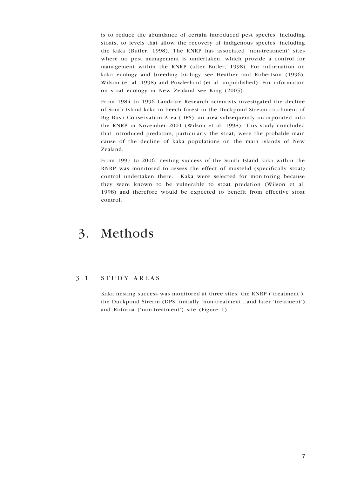is to reduce the abundance of certain introduced pest species, including stoats, to levels that allow the recovery of indigenous species, including the kaka (Butler, 1998). The RNRP has associated 'non-treatment' sites where no pest management is undertaken, which provide a control for management within the RNRP (after Butler, 1998). For information on kaka ecology and breeding biology see Heather and Robertson (1996), Wilson (et al. 1998) and Powlesland (et al. unpublished). For information on stoat ecology in New Zealand see King (2005).

From 1984 to 1996 Landcare Research scientists investigated the decline of South Island kaka in beech forest in the Duckpond Stream catchment of Big Bush Conservation Area (DPS), an area subsequently incorporated into the RNRP in November 2001 (Wilson et al. 1998). This study concluded that introduced predators, particularly the stoat, were the probable main cause of the decline of kaka populations on the main islands of New Zealand.

From 1997 to 2006, nesting success of the South Island kaka within the RNRP was monitored to assess the effect of mustelid (specifically stoat) control undertaken there. Kaka were selected for monitoring because they were known to be vulnerable to stoat predation (Wilson et al. 1998) and therefore would be expected to benefit from effective stoat control.

## 3. Methods

### 3 . 1 S T U D Y A R E A S

Kaka nesting success was monitored at three sites: the RNRP ('treatment'), the Duckpond Stream (DPS; initially 'non-treatment', and later 'treatment') and Rotoroa ('non-treatment') site (Figure 1).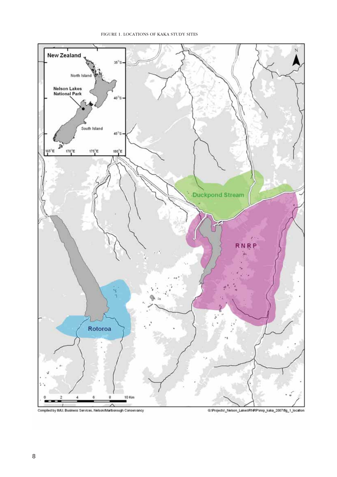



G:\Projects\\_Nelson\_Lakes\RNRP\mrp\_kaka\_2007tfg\_1\_location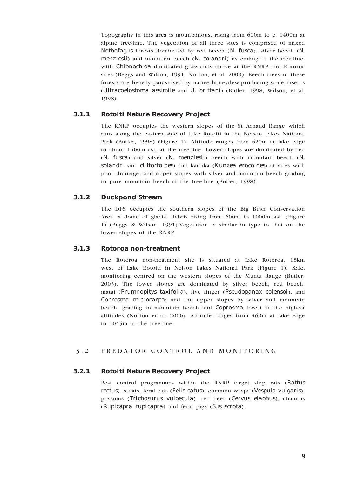Topography in this area is mountainous, rising from 600m to c. 1400m at alpine tree-line. The vegetation of all three sites is comprised of mixed Nothofagus forests dominated by red beech  $(N.$  fusca), silver beech  $(N.$ menziesii) and mountain beech  $(N. \text{solandri})$  extending to the tree-line, with *Chionochloa* dominated grasslands above at the RNRP and Rotoroa sites (Beggs and Wilson, 1991; Norton, et al. 2000). Beech trees in these forests are heavily parasitised by native honeydew-producing scale insects (Ultracoelostoma assimile and U. brittani) (Butler, 1998; Wilson, et al. 1998).

## 3.1.1 Rotoiti Nature Recovery Project

The RNRP occupies the western slopes of the St Arnaud Range which runs along the eastern side of Lake Rotoiti in the Nelson Lakes National Park (Butler, 1998) (Figure 1). Altitude ranges from 620m at lake edge to about 1400m asl. at the tree-line. Lower slopes are dominated by red  $(N.$  fusca) and silver  $(N.$  menziesii) beech with mountain beech  $(N.$ solandri var. cliffortoides) and kanuka (Kunzea erocoides) at sites with poor drainage; and upper slopes with silver and mountain beech grading to pure mountain beech at the tree-line (Butler, 1998).

## 3.1.2 Duckpond Stream

The DPS occupies the southern slopes of the Big Bush Conservation Area, a dome of glacial debris rising from 600m to 1000m asl. (Figure 1) (Beggs & Wilson, 1991).Vegetation is similar in type to that on the lower slopes of the RNRP.

### 3.1.3 Rotoroa non-treatment

The Rotoroa non-treatment site is situated at Lake Rotoroa, 18km west of Lake Rotoiti in Nelson Lakes National Park (Figure 1). Kaka monitoring centred on the western slopes of the Muntz Range (Butler, 2003). The lower slopes are dominated by silver beech, red beech, matai (Prumnopitys taxifolia), five finger (Pseudopanax colensoi), and Coprosma microcarpa; and the upper slopes by silver and mountain beech, grading to mountain beech and Coprosma forest at the highest altitudes (Norton et al. 2000). Altitude ranges from 460m at lake edge to 1045m at the tree-line.

## 3.2 PREDATOR CONTROL AND MONITORING

### 3.2.1 Rotoiti Nature Recovery Project

Pest control programmes within the RNRP target ship rats (Rattus rattus), stoats, feral cats (Felis catus), common wasps (Vespula vulgaris), possums (Trichosurus vulpecula), red deer (Cervus elaphus), chamois (Rupicapra rupicapra) and feral pigs (Sus scrofa).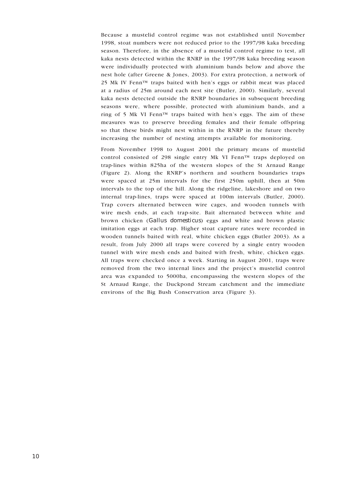Because a mustelid control regime was not established until November 1998, stoat numbers were not reduced prior to the 1997/98 kaka breeding season. Therefore, in the absence of a mustelid control regime to test, all kaka nests detected within the RNRP in the 1997/98 kaka breeding season were individually protected with aluminium bands below and above the nest hole (after Greene & Jones, 2003). For extra protection, a network of 25 Mk IV Fenn™ traps baited with hen's eggs or rabbit meat was placed at a radius of 25m around each nest site (Butler, 2000). Similarly, several kaka nests detected outside the RNRP boundaries in subsequent breeding seasons were, where possible, protected with aluminium bands, and a ring of 5 Mk VI Fenn<sup>™</sup> traps baited with hen's eggs. The aim of these measures was to preserve breeding females and their female offspring so that these birds might nest within in the RNRP in the future thereby increasing the number of nesting attempts available for monitoring.

From November 1998 to August 2001 the primary means of mustelid control consisted of 298 single entry Mk VI Fenn™ traps deployed on trap-lines within 825ha of the western slopes of the St Arnaud Range (Figure 2). Along the RNRP's northern and southern boundaries traps were spaced at 25m intervals for the first 250m uphill, then at 50m intervals to the top of the hill. Along the ridgeline, lakeshore and on two internal trap-lines, traps were spaced at 100m intervals (Butler, 2000). Trap covers alternated between wire cages, and wooden tunnels with wire mesh ends, at each trap-site. Bait alternated between white and brown chicken (Gallus domesticus) eggs and white and brown plastic imitation eggs at each trap. Higher stoat capture rates were recorded in wooden tunnels baited with real, white chicken eggs (Butler 2003). As a result, from July 2000 all traps were covered by a single entry wooden tunnel with wire mesh ends and baited with fresh, white, chicken eggs. All traps were checked once a week. Starting in August 2001, traps were removed from the two internal lines and the project's mustelid control area was expanded to 5000ha, encompassing the western slopes of the St Arnaud Range, the Duckpond Stream catchment and the immediate environs of the Big Bush Conservation area (Figure 3).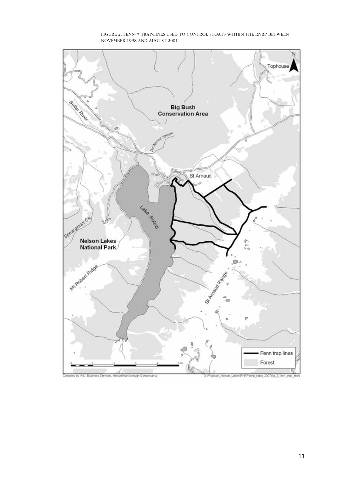

FIGURE 2. FENN™ TRAP-LINES USED TO CONTROL STOATS WITHIN THE RNRP BETWEEN NOVEMBER 1998 AND AUGUST 2001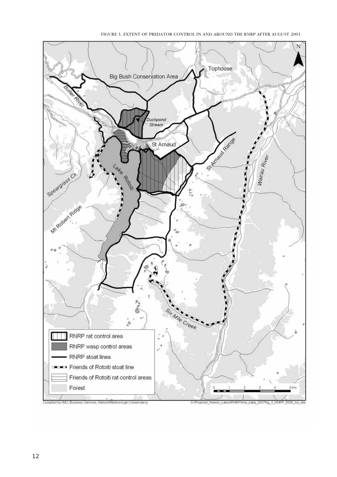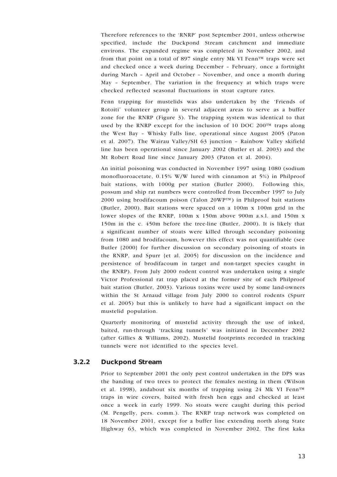Therefore references to the 'RNRP' post September 2001, unless otherwise specified, include the Duckpond Stream catchment and immediate environs. The expanded regime was completed in November 2002, and from that point on a total of 897 single entry Mk VI Fenn<sup> $TM$ </sup> traps were set and checked once a week during December – February, once a fortnight during March – April and October – November, and once a month during May – September. The variation in the frequency at which traps were checked reflected seasonal fluctuations in stoat capture rates.

Fenn trapping for mustelids was also undertaken by the 'Friends of Rotoiti' volunteer group in several adjacent areas to serve as a buffer zone for the RNRP (Figure 3). The trapping system was identical to that used by the RNRP except for the inclusion of 10 DOC 200 $\text{TM}$  traps along the West Bay – Whisky Falls line, operational since August 2005 (Paton et al. 2007). The Wairau Valley/SH 63 junction – Rainbow Valley skifield line has been operational since January 2002 (Butler et al. 2003) and the Mt Robert Road line since January 2003 (Paton et al. 2004).

An initial poisoning was conducted in November 1997 using 1080 (sodium monofluoroacetate, 0.15% W/W lured with cinnamon at 5%) in Philproof bait stations, with 1000g per station (Butler 2000). Following this, possum and ship rat numbers were controlled from December 1997 to July 2000 using brodifacoum poison (Talon 20WP™) in Philproof bait stations (Butler, 2000). Bait stations were spaced on a 100m x 100m grid in the lower slopes of the RNRP, 100m x 150m above 900m a.s.l. and 150m x 150m in the c. 450m before the tree-line (Butler, 2000). It is likely that a significant number of stoats were killed through secondary poisoning from 1080 and brodifacoum, however this effect was not quantifiable (see Butler {2000} for further discussion on secondary poisoning of stoats in the RNRP, and Spurr {et al. 2005} for discussion on the incidence and persistence of brodifacoum in target and non-target species caught in the RNRP). From July 2000 rodent control was undertaken using a single Victor Professional rat trap placed at the former site of each Philproof bait station (Butler, 2003). Various toxins were used by some land-owners within the St Arnaud village from July 2000 to control rodents (Spurr et al. 2005) but this is unlikely to have had a significant impact on the mustelid population.

Quarterly monitoring of mustelid activity through the use of inked, baited, run-through 'tracking tunnels' was initiated in December 2002 (after Gillies & Williams, 2002). Mustelid footprints recorded in tracking tunnels were not identified to the species level.

#### 3.2.2 Duckpond Stream

Prior to September 2001 the only pest control undertaken in the DPS was the banding of two trees to protect the females nesting in them (Wilson et al. 1998), andabout six months of trapping using 24 Mk VI Fenn<sup> $TM$ </sup> traps in wire covers, baited with fresh hen eggs and checked at least once a week in early 1999. No stoats were caught during this period (M. Pengelly, pers. comm.). The RNRP trap network was completed on 18 November 2001, except for a buffer line extending north along State Highway 63, which was completed in November 2002. The first kaka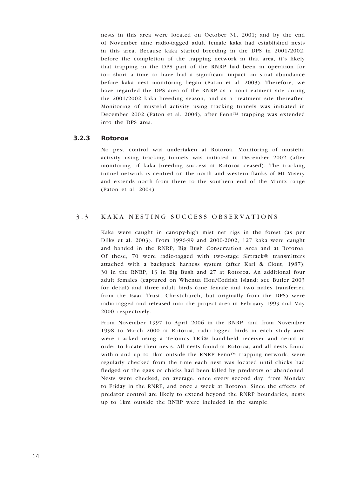nests in this area were located on October 31, 2001; and by the end of November nine radio-tagged adult female kaka had established nests in this area. Because kaka started breeding in the DPS in 2001/2002, before the completion of the trapping network in that area, it's likely that trapping in the DPS part of the RNRP had been in operation for too short a time to have had a significant impact on stoat abundance before kaka nest monitoring began (Paton et al. 2003). Therefore, we have regarded the DPS area of the RNRP as a non-treatment site during the 2001/2002 kaka breeding season, and as a treatment site thereafter. Monitoring of mustelid activity using tracking tunnels was initiated in December 2002 (Paton et al. 2004), after Fenn™ trapping was extended into the DPS area.

#### 3.2.3 Rotoroa

No pest control was undertaken at Rotoroa. Monitoring of mustelid activity using tracking tunnels was initiated in December 2002 (after monitoring of kaka breeding success at Rotoroa ceased). The tracking tunnel network is centred on the north and western flanks of Mt Misery and extends north from there to the southern end of the Muntz range (Paton et al. 2004).

## 3.3 KAKA NESTING SUCCESS OBSERVATIONS

Kaka were caught in canopy-high mist net rigs in the forest (as per Dilks et al. 2003). From 1996-99 and 2000-2002, 127 kaka were caught and banded in the RNRP, Big Bush Conservation Area and at Rotoroa. Of these, 70 were radio-tagged with two-stage Sirtrack® transmitters attached with a backpack harness system (after Karl & Clout, 1987); 30 in the RNRP, 13 in Big Bush and 27 at Rotoroa. An additional four adult females (captured on Whenua Hou/Codfish island; see Butler 2003 for detail) and three adult birds (one female and two males transferred from the Isaac Trust, Christchurch, but originally from the DPS) were radio-tagged and released into the project area in February 1999 and May 2000 respectively.

From November 1997 to April 2006 in the RNRP, and from November 1998 to March 2000 at Rotoroa, radio-tagged birds in each study area were tracked using a Telonics TR4® hand-held receiver and aerial in order to locate their nests. All nests found at Rotoroa, and all nests found within and up to 1km outside the RNRP Fenn<sup> $TM$ </sup> trapping network, were regularly checked from the time each nest was located until chicks had fledged or the eggs or chicks had been killed by predators or abandoned. Nests were checked, on average, once every second day, from Monday to Friday in the RNRP, and once a week at Rotoroa. Since the effects of predator control are likely to extend beyond the RNRP boundaries, nests up to 1km outside the RNRP were included in the sample.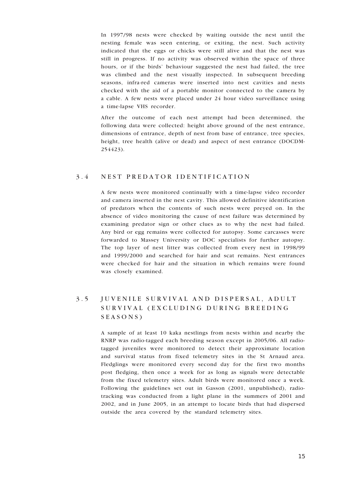In 1997/98 nests were checked by waiting outside the nest until the nesting female was seen entering, or exiting, the nest. Such activity indicated that the eggs or chicks were still alive and that the nest was still in progress. If no activity was observed within the space of three hours, or if the birds' behaviour suggested the nest had failed, the tree was climbed and the nest visually inspected. In subsequent breeding seasons, infra-red cameras were inserted into nest cavities and nests checked with the aid of a portable monitor connected to the camera by a cable. A few nests were placed under 24 hour video surveillance using a time-lapse VHS recorder.

After the outcome of each nest attempt had been determined, the following data were collected: height above ground of the nest entrance, dimensions of entrance, depth of nest from base of entrance, tree species, height, tree health (alive or dead) and aspect of nest entrance (DOCDM-254423).

#### 3.4 NEST PREDATOR IDENTIFICATION

A few nests were monitored continually with a time-lapse video recorder and camera inserted in the nest cavity. This allowed definitive identification of predators when the contents of such nests were preyed on. In the absence of video monitoring the cause of nest failure was determined by examining predator sign or other clues as to why the nest had failed. Any bird or egg remains were collected for autopsy. Some carcasses were forwarded to Massey University or DOC specialists for further autopsy. The top layer of nest litter was collected from every nest in 1998/99 and 1999/2000 and searched for hair and scat remains. Nest entrances were checked for hair and the situation in which remains were found was closely examined.

## 3.5 JUVENILE SURVIVAL AND DISPERSAL, ADULT SURVIVAL (EXCLUDING DURING BREEDING SEASONS)

A sample of at least 10 kaka nestlings from nests within and nearby the RNRP was radio-tagged each breeding season except in 2005/06. All radiotagged juveniles were monitored to detect their approximate location and survival status from fixed telemetry sites in the St Arnaud area. Fledglings were monitored every second day for the first two months post fledging, then once a week for as long as signals were detectable from the fixed telemetry sites. Adult birds were monitored once a week. Following the guidelines set out in Gasson (2001, unpublished), radiotracking was conducted from a light plane in the summers of 2001 and 2002, and in June 2005, in an attempt to locate birds that had dispersed outside the area covered by the standard telemetry sites.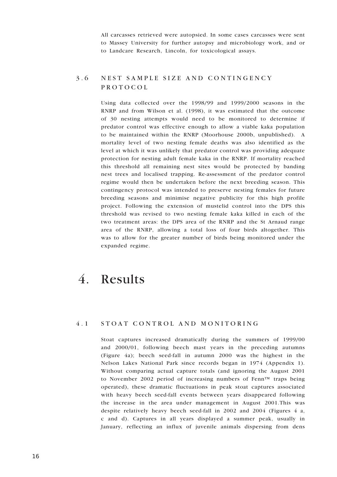All carcasses retrieved were autopsied. In some cases carcasses were sent to Massey University for further autopsy and microbiology work, and or to Landcare Research, Lincoln, for toxicological assays.

## 3.6 NEST SAMPLE SIZE AND CONTINGENCY PROTOCOL

Using data collected over the 1998/99 and 1999/2000 seasons in the RNRP and from Wilson et al. (1998), it was estimated that the outcome of 30 nesting attempts would need to be monitored to determine if predator control was effective enough to allow a viable kaka population to be maintained within the RNRP (Moorhouse 2000b, unpublished). A mortality level of two nesting female deaths was also identified as the level at which it was unlikely that predator control was providing adequate protection for nesting adult female kaka in the RNRP. If mortality reached this threshold all remaining nest sites would be protected by banding nest trees and localised trapping. Re-assessment of the predator control regime would then be undertaken before the next breeding season. This contingency protocol was intended to preserve nesting females for future breeding seasons and minimise negative publicity for this high profile project. Following the extension of mustelid control into the DPS this threshold was revised to two nesting female kaka killed in each of the two treatment areas: the DPS area of the RNRP and the St Arnaud range area of the RNRP, allowing a total loss of four birds altogether. This was to allow for the greater number of birds being monitored under the expanded regime.

## 4. Results

#### 4.1 STOAT CONTROL AND MONITORING

Stoat captures increased dramatically during the summers of 1999/00 and 2000/01, following beech mast years in the preceding autumns (Figure 4a); beech seed-fall in autumn 2000 was the highest in the Nelson Lakes National Park since records began in 1974 (Appendix 1). Without comparing actual capture totals (and ignoring the August 2001 to November 2002 period of increasing numbers of Fenn™ traps being operated), these dramatic fluctuations in peak stoat captures associated with heavy beech seed-fall events between years disappeared following the increase in the area under management in August 2001.This was despite relatively heavy beech seed-fall in 2002 and 2004 (Figures 4 a, c and d). Captures in all years displayed a summer peak, usually in January, reflecting an influx of juvenile animals dispersing from dens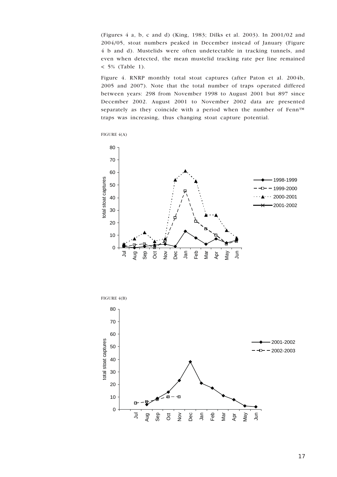(Figures 4 a, b, c and d) (King, 1983; Dilks et al. 2003). In 2001/02 and 2004/05, stoat numbers peaked in December instead of January (Figure 4 b and d). Mustelids were often undetectable in tracking tunnels, and even when detected, the mean mustelid tracking rate per line remained  $< 5\%$  (Table 1).

Figure 4. RNRP monthly total stoat captures (after Paton et al. 2004b, 2005 and 2007). Note that the total number of traps operated differed between years: 298 from November 1998 to August 2001 but 897 since December 2002. August 2001 to November 2002 data are presented separately as they coincide with a period when the number of Fenn™ traps was increasing, thus changing stoat capture potential.







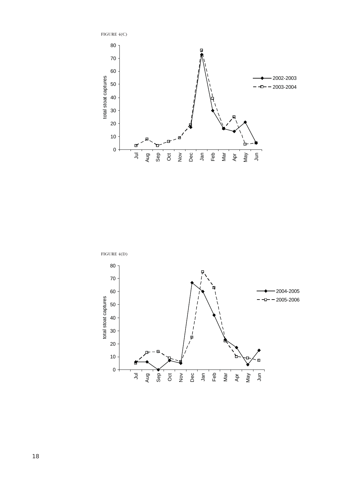

FIGURE 4(D)

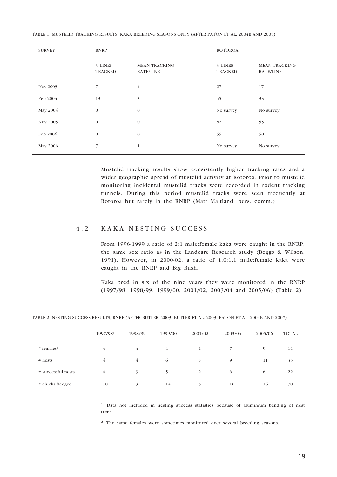| <b>SURVEY</b> | <b>RNRP</b>               |                                   | <b>ROTOROA</b>            |                                   |
|---------------|---------------------------|-----------------------------------|---------------------------|-----------------------------------|
|               | % LINES<br><b>TRACKED</b> | <b>MEAN TRACKING</b><br>RATE/LINE | % LINES<br><b>TRACKED</b> | <b>MEAN TRACKING</b><br>RATE/LINE |
| Nov 2003      | $\overline{7}$            | $\overline{4}$                    | 27                        | 17                                |
| Feb 2004      | 13                        | 3                                 | 45                        | 33                                |
| May 2004      | $\mathbf{0}$              | $\mathbf{0}$                      | No survey                 | No survey                         |
| Nov 2005      | $\theta$                  | $\mathbf{0}$                      | 82                        | 55                                |
| Feb 2006      | $\mathbf{0}$              | $\mathbf{0}$                      | 55                        | 50                                |
| May 2006      | 7                         | $\mathbf{1}$                      | No survey                 | No survey                         |

TABLE 1. MUSTELID TRACKING RESULTS, KAKA BREEDING SEASONS ONLY (AFTER PATON ET AL. 2004B AND 2005)

Mustelid tracking results show consistently higher tracking rates and a wider geographic spread of mustelid activity at Rotoroa. Prior to mustelid monitoring incidental mustelid tracks were recorded in rodent tracking tunnels. During this period mustelid tracks were seen frequently at Rotoroa but rarely in the RNRP (Matt Maitland, pers. comm.)

### 4.2 KAKA NESTING SUCCESS

From 1996-1999 a ratio of 2:1 male:female kaka were caught in the RNRP, the same sex ratio as in the Landcare Research study (Beggs & Wilson, 1991). However, in 2000-02, a ratio of 1.0:1.1 male:female kaka were caught in the RNRP and Big Bush.

Kaka bred in six of the nine years they were monitored in the RNRP (1997/98, 1998/99, 1999/00, 2001/02, 2003/04 and 2005/06) (Table 2).

TABLE 2. NESTING SUCCESS RESULTS, RNRP (AFTER BUTLER, 2003; BUTLER ET AL. 2003; PATON ET AL. 2004B AND 2007)

|                        | 1997/981 | 1998/99        | 1999/00 | 2001/02 | 2003/04 | 2005/06  | <b>TOTAL</b> |
|------------------------|----------|----------------|---------|---------|---------|----------|--------------|
| # females <sup>2</sup> | 4        | $\overline{4}$ | 4       | 4       |         | $\Omega$ | 14           |
| $#$ nests              | 4        | $\overline{4}$ | 6       | 5       | 9       | 11       | 35           |
| # successful nests     | 4        | 3              | 5       | 2       | 6       | 6        | 22           |
| # chicks fledged       | 10       | 9              | 14      | 3       | 18      | 16       | 70           |

 $<sup>1</sup>$  Data not included in nesting success statistics because of aluminium banding of nest</sup> trees.

<sup>2</sup> The same females were sometimes monitored over several breeding seasons.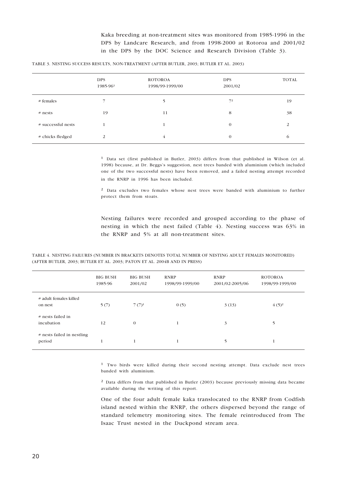Kaka breeding at non-treatment sites was monitored from 1985-1996 in the DPS by Landcare Research, and from 1998-2000 at Rotoroa and 2001/02 in the DPS by the DOC Science and Research Division (Table 3).

|  |  | TABLE 3. NESTING SUCCESS RESULTS, NON-TREATMENT (AFTER BUTLER, 2003; BUTLER ET AL. 2003) |  |  |  |  |
|--|--|------------------------------------------------------------------------------------------|--|--|--|--|

|                    | <b>DPS</b><br>1985-961 | <b>ROTOROA</b><br>1998/99-1999/00 | <b>DPS</b><br>2001/02 | <b>TOTAL</b> |
|--------------------|------------------------|-----------------------------------|-----------------------|--------------|
| # females          |                        | 5                                 | 7 <sup>2</sup>        | 19           |
| $#$ nests          | 19                     | 11                                | 8                     | 38           |
| # successful nests |                        |                                   | $\mathbf{0}$          | 2            |
| # chicks fledged   | 2                      | 4                                 | $\mathbf{0}$          | $\circ$      |

 $<sup>1</sup>$  Data set (first published in Butler, 2003) differs from that published in Wilson (et al.</sup> 1998) because, at Dr. Beggs's suggestion, nest trees banded with aluminium (which included one of the two successful nests) have been removed, and a failed nesting attempt recorded in the RNRP in 1996 has been included.

² Data excludes two females whose nest trees were banded with aluminium to further protect them from stoats.

Nesting failures were recorded and grouped according to the phase of nesting in which the nest failed (Table 4). Nesting success was 63% in the RNRP and 5% at all non-treatment sites.

|                                      | <b>BIG BUSH</b><br>1985-96 | <b>BIG BUSH</b><br>2001/02 | <b>RNRP</b><br>1998/99-1999/00 | <b>RNRP</b><br>2001/02-2005/06 | <b>ROTOROA</b><br>1998/99-1999/00 |
|--------------------------------------|----------------------------|----------------------------|--------------------------------|--------------------------------|-----------------------------------|
| # adult females killed<br>on nest    | 5(7)                       | $7(7)^1$                   | 0(5)                           | 3(13)                          | $(4(5)^2)$                        |
| # nests failed in<br>incubation      | 12                         | $\mathbf{0}$               |                                | 3                              | 5                                 |
| # nests failed in nestling<br>period |                            | 1                          |                                | 5                              |                                   |

TABLE 4. NESTING FAILURES (NUMBER IN BRACKETS DENOTES TOTAL NUMBER OF NESTING ADULT FEMALES MONITORED) (AFTER BUTLER, 2003; BUTLER ET AL. 2003; PATON ET AL. 2004B AND IN PRESS)

> <sup>1</sup> Two birds were killed during their second nesting attempt. Data exclude nest trees banded with aluminium.

> ² Data differs from that published in Butler (2003) because previously missing data became available during the writing of this report.

> One of the four adult female kaka translocated to the RNRP from Codfish island nested within the RNRP, the others dispersed beyond the range of standard telemetry monitoring sites. The female reintroduced from The Isaac Trust nested in the Duckpond stream area.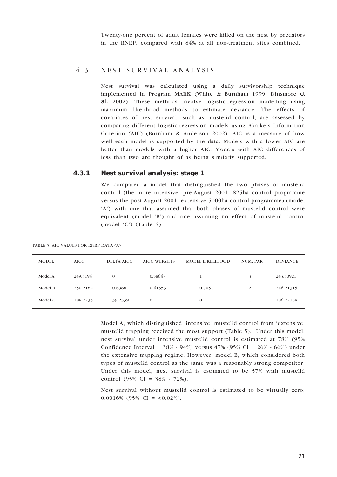Twenty-one percent of adult females were killed on the nest by predators in the RNRP, compared with 84% at all non-treatment sites combined.

#### 4.3 NEST SURVIVAL ANALYSIS

Nest survival was calculated using a daily survivorship technique implemented in Program MARK (White & Burnham 1999, Dinsmore et al. 2002). These methods involve logistic-regression modelling using maximum likelihood methods to estimate deviance. The effects of covariates of nest survival, such as mustelid control, are assessed by comparing different logistic-regression models using Akaike's Information Criterion (AIC) (Burnham & Anderson 2002). AIC is a measure of how well each model is supported by the data. Models with a lower AIC are better than models with a higher AIC. Models with AIC differences of less than two are thought of as being similarly supported.

#### 4.3.1 Nest survival analysis: stage 1

We compared a model that distinguished the two phases of mustelid control (the more intensive, pre-August 2001, 825ha control programme versus the post-August 2001, extensive 5000ha control programme) (model 'A') with one that assumed that both phases of mustelid control were equivalent (model 'B') and one assuming no effect of mustelid control (model 'C') (Table 5).

TABLE 5. AIC VALUES FOR RNRP DATA (A)

| <b>MODEL</b> | <b>AICC</b> | DELTA AICC   | AICC WEIGHTS | MODEL LIKELIHOOD | NUM. PAR | <b>DEVIANCE</b> |
|--------------|-------------|--------------|--------------|------------------|----------|-----------------|
| Model A      | 249.5194    | $\mathbf{0}$ | 0.58647      |                  | 3        | 243.50921       |
| Model B      | 250.2182    | 0.6988       | 0.41353      | 0.7051           | 2        | 246.21315       |
| Model C      | 288.7733    | 39.2539      | $\theta$     | $\mathbf{0}$     |          | 286.77158       |

Model A, which distinguished 'intensive' mustelid control from 'extensive' mustelid trapping received the most support (Table 5). Under this model, nest survival under intensive mustelid control is estimated at 78% (95% Confidence Interval =  $38\%$  -  $94\%$ ) versus  $47\%$  ( $95\%$  CI =  $26\%$  -  $66\%$ ) under the extensive trapping regime. However, model B, which considered both types of mustelid control as the same was a reasonably strong competitor. Under this model, nest survival is estimated to be 57% with mustelid control (95% CI =  $38\%$  - 72%).

Nest survival without mustelid control is estimated to be virtually zero; 0.0016% (95% CI =  $\langle 0.02\% \rangle$ ).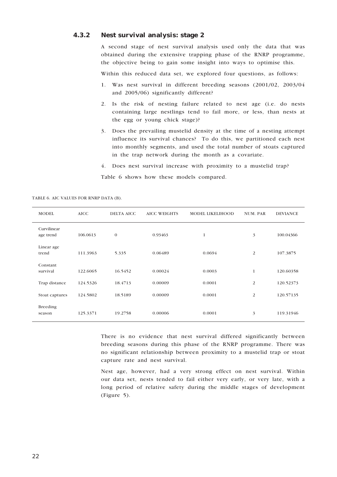#### 4.3.2 Nest survival analysis: stage 2

A second stage of nest survival analysis used only the data that was obtained during the extensive trapping phase of the RNRP programme, the objective being to gain some insight into ways to optimise this.

Within this reduced data set, we explored four questions, as follows:

- 1. Was nest survival in different breeding seasons (2001/02, 2003/04 and 2005/06) significantly different?
- 2. Is the risk of nesting failure related to nest age (i.e. do nests containing large nestlings tend to fail more, or less, than nests at the egg or young chick stage)?
- 3. Does the prevailing mustelid density at the time of a nesting attempt influence its survival chances? To do this, we partitioned each nest into monthly segments, and used the total number of stoats captured in the trap network during the month as a covariate.
- 4. Does nest survival increase with proximity to a mustelid trap?

Table 6 shows how these models compared.

| <b>MODEL</b>              | <b>AICC</b> | <b>DELTA AICC</b> | <b>AICC WEIGHTS</b> | <b>MODEL LIKELIHOOD</b> | NUM. PAR | <b>DEVIANCE</b> |
|---------------------------|-------------|-------------------|---------------------|-------------------------|----------|-----------------|
| Curvilinear<br>age trend  | 106.0613    | $\mathbf{0}$      | 0.93463             | $\mathbf{1}$            | 3        | 100.04366       |
| Linear age<br>trend       | 111.3963    | 5.335             | 0.06489             | 0.0694                  | 2        | 107.3875        |
| Constant<br>survival      | 122.6065    | 16.5452           | 0.00024             | 0.0003                  | 1        | 120.60358       |
| Trap distance             | 124.5326    | 18.4713           | 0.00009             | 0.0001                  | 2        | 120.52373       |
| Stoat captures            | 124.5802    | 18.5189           | 0.00009             | 0.0001                  | 2        | 120.57135       |
| <b>Breeding</b><br>season | 125.3371    | 19.2758           | 0.00006             | 0.0001                  | 3        | 119.31946       |

TABLE 6. AIC VALUES FOR RNRP DATA (B).

There is no evidence that nest survival differed significantly between breeding seasons during this phase of the RNRP programme. There was no significant relationship between proximity to a mustelid trap or stoat capture rate and nest survival.

Nest age, however, had a very strong effect on nest survival. Within our data set, nests tended to fail either very early, or very late, with a long period of relative safety during the middle stages of development (Figure 5).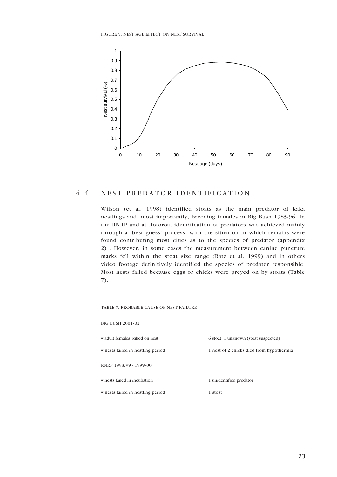FIGURE 5. NEST AGE EFFECT ON NEST SURVIVAL



### 4.4 NEST PREDATOR IDENTIFICATION

Wilson (et al. 1998) identified stoats as the main predator of kaka nestlings and, most importantly, breeding females in Big Bush 1985-96. In the RNRP and at Rotoroa, identification of predators was achieved mainly through a 'best guess' process, with the situation in which remains were found contributing most clues as to the species of predator (appendix 2) . However, in some cases the measurement between canine puncture marks fell within the stoat size range (Ratz et al. 1999) and in others video footage definitively identified the species of predator responsible. Most nests failed because eggs or chicks were preyed on by stoats (Table 7).

TABLE 7. PROBABLE CAUSE OF NEST FAILURE

| BIG BUSH 2001/02                  |                                          |
|-----------------------------------|------------------------------------------|
| # adult females killed on nest    | 6 stoat 1 unknown (stoat suspected)      |
| # nests failed in nestling period | 1 nest of 2 chicks died from hypothermia |
| RNRP 1998/99 - 1999/00            |                                          |
| # nests failed in incubation      | 1 unidentified predator                  |
| # nests failed in nestling period | 1 stoat                                  |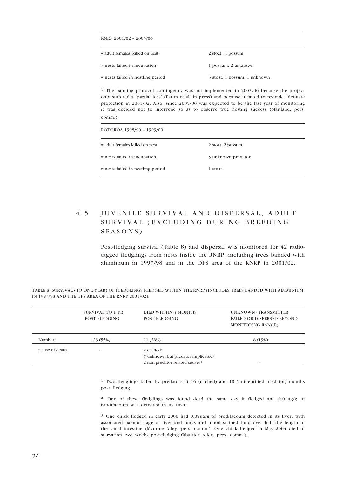| RNRP 2001/02 - 2005/06                      |                              |
|---------------------------------------------|------------------------------|
| # adult females killed on nest <sup>1</sup> | 2 stoat, 1 possum            |
| # nests failed in incubation                | 1 possum, 2 unknown          |
| # nests failed in nestling period           | 3 stoat, 1 possum, 1 unknown |

 $1$  The banding protocol contingency was not implemented in 2005/06 because the project only suffered a 'partial loss' (Paton et al. in press) and because it failed to provide adequate protection in 2001/02. Also, since 2005/06 was expected to be the last year of monitoring it was decided not to intervene so as to observe true nesting success (Maitland, pers. comm.).

| ROTOROA 1998/99 - 1999/00         |                    |  |  |  |  |
|-----------------------------------|--------------------|--|--|--|--|
| # adult females killed on nest    | 2 stoat, 2 possum  |  |  |  |  |
| # nests failed in incubation      | 5 unknown predator |  |  |  |  |
| # nests failed in nestling period | 1 stoat            |  |  |  |  |

## 4.5 JUVENILE SURVIVAL AND DISPERSAL, ADULT SURVIVAL (EXCLUDING DURING BREEDING SEASONS)

Post-fledging survival (Table 8) and dispersal was monitored for 42 radiotagged fledglings from nests inside the RNRP, including trees banded with aluminium in 1997/98 and in the DPS area of the RNRP in 2001/02.

|                | SURVIVAL TO 1 YR<br>POST FLEDGING | DIED WITHIN 3 MONTHS<br><b>POST FLEDGING</b>   | UNKNOWN (TRANSMITTER<br><b>FAILED OR DISPERSED BEYOND</b><br><b>MONITORING RANGE)</b> |
|----------------|-----------------------------------|------------------------------------------------|---------------------------------------------------------------------------------------|
| Number         | 23 (55%)                          | 11(26%)                                        | 8 (19%)                                                                               |
| Cause of death | $\overline{\phantom{a}}$          | $2$ cached <sup>1</sup>                        |                                                                                       |
|                |                                   | 7 unknown but predator implicated <sup>2</sup> |                                                                                       |
|                |                                   | 2 non-predator related causes <sup>3</sup>     |                                                                                       |

TABLE 8. SURVIVAL (TO ONE YEAR) OF FLEDGLINGS FLEDGED WITHIN THE RNRP (INCLUDES TREES BANDED WITH ALUMINIUM IN 1997/98 AND THE DPS AREA OF THE RNRP 2001/02).

> <sup>1</sup> Two fledglings killed by predators at 16 (cached) and 18 (unidentified predator) months post fledging.

> <sup>2</sup> One of these fledglings was found dead the same day it fledged and 0.01µg/g of brodifacoum was detected in its liver.

> ³ One chick fledged in early 2000 had 0.09μg/g of brodifacoum detected in its liver, with associated haemorrhage of liver and lungs and blood stained fluid over half the length of the small intestine (Maurice Alley, pers. comm.). One chick fledged in May 2004 died of starvation two weeks post-fledging (Maurice Alley, pers. comm.).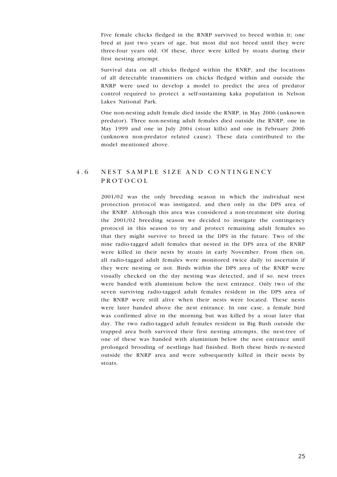Five female chicks fledged in the RNRP survived to breed within it; one bred at just two years of age, but most did not breed until they were three-four years old. Of these, three were killed by stoats during their first nesting attempt.

Survival data on all chicks fledged within the RNRP, and the locations of all detectable transmitters on chicks fledged within and outside the RNRP were used to develop a model to predict the area of predator control required to protect a self-sustaining kaka population in Nelson Lakes National Park.

One non-nesting adult female died inside the RNRP, in May 2006 (unknown predator). Three non-nesting adult females died outside the RNRP, one in May 1999 and one in July 2004 (stoat kills) and one in February 2006 (unknown non-predator related cause). These data contributed to the model mentioned above.

## 4 6 NEST SAMPLE SIZE AND CONTINGENCY PROTOCOL

2001/02 was the only breeding season in which the individual nest protection protocol was instigated, and then only in the DPS area of the RNRP. Although this area was considered a non-treatment site during the 2001/02 breeding season we decided to instigate the contingency protocol in this season to try and protect remaining adult females so that they might survive to breed in the DPS in the future. Two of the nine radio-tagged adult females that nested in the DPS area of the RNRP were killed in their nests by stoats in early November. From then on, all radio-tagged adult females were monitored twice daily to ascertain if they were nesting or not. Birds within the DPS area of the RNRP were visually checked on the day nesting was detected, and if so, nest trees were banded with aluminium below the nest entrance. Only two of the seven surviving radio-tagged adult females resident in the DPS area of the RNRP were still alive when their nests were located. These nests were later banded above the nest entrance. In one case, a female bird was confirmed alive in the morning but was killed by a stoat later that day. The two radio-tagged adult females resident in Big Bush outside the trapped area both survived their first nesting attempts, the nest-tree of one of these was banded with aluminium below the nest entrance until prolonged brooding of nestlings had finished. Both these birds re-nested outside the RNRP area and were subsequently killed in their nests by stoats.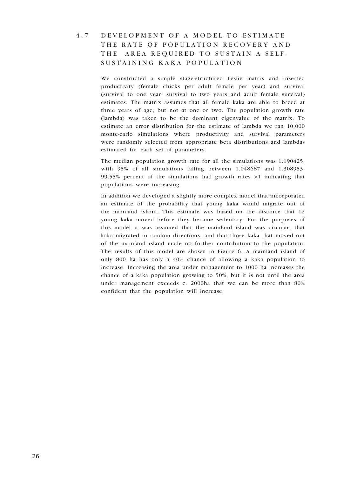4.7 DEVELOPMENT OF A MODEL TO ESTIMATE THE RATE OF POPULATION RECOVERY AND THE AREA REQUIRED TO SUSTAIN A SELF-SUSTAINING KAKA POPULATION

> We constructed a simple stage-structured Leslie matrix and inserted productivity (female chicks per adult female per year) and survival (survival to one year, survival to two years and adult female survival) estimates. The matrix assumes that all female kaka are able to breed at three years of age, but not at one or two. The population growth rate (lambda) was taken to be the dominant eigenvalue of the matrix. To estimate an error distribution for the estimate of lambda we ran 10,000 monte-carlo simulations where productivity and survival parameters were randomly selected from appropriate beta distributions and lambdas estimated for each set of parameters.

> The median population growth rate for all the simulations was 1.190425, with 95% of all simulations falling between 1.048687 and 1.308953. 99.55% percent of the simulations had growth rates >1 indicating that populations were increasing.

> In addition we developed a slightly more complex model that incorporated an estimate of the probability that young kaka would migrate out of the mainland island. This estimate was based on the distance that 12 young kaka moved before they became sedentary. For the purposes of this model it was assumed that the mainland island was circular, that kaka migrated in random directions, and that those kaka that moved out of the mainland island made no further contribution to the population. The results of this model are shown in Figure 6. A mainland island of only 800 ha has only a 40% chance of allowing a kaka population to increase. Increasing the area under management to 1000 ha increases the chance of a kaka population growing to 50%, but it is not until the area under management exceeds c. 2000ha that we can be more than 80% confident that the population will increase.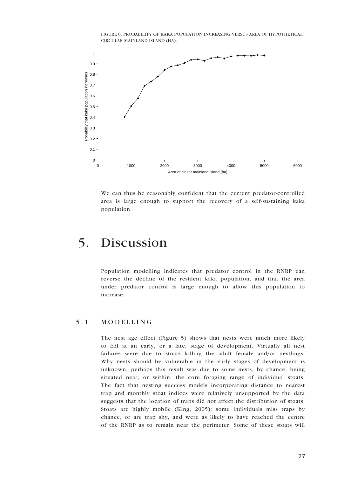FIGURE 6. PROBABILITY OF KAKA POPULATION INCREASING VERSUS AREA OF HYPOTHETICAL CIRCULAR MAINLAND ISLAND (HA).



We can thus be reasonably confident that the current predator-controlled area is large enough to support the recovery of a self-sustaining kaka population.

## 5. Discussion

Population modelling indicates that predator control in the RNRP can reverse the decline of the resident kaka population, and that the area under predator control is large enough to allow this population to increase.

#### 5 . 1 M O D E L L I N G

The nest age effect (Figure 5) shows that nests were much more likely to fail at an early, or a late, stage of development. Virtually all nest failures were due to stoats killing the adult female and/or nestlings. Why nests should be vulnerable in the early stages of development is unknown, perhaps this result was due to some nests, by chance, being situated near, or within, the core foraging range of individual stoats. The fact that nesting success models incorporating distance to nearest trap and monthly stoat indices were relatively unsupported by the data suggests that the location of traps did not affect the distribution of stoats. Stoats are highly mobile (King, 2005): some individuals miss traps by chance, or are trap shy, and were as likely to have reached the centre of the RNRP as to remain near the perimeter. Some of these stoats will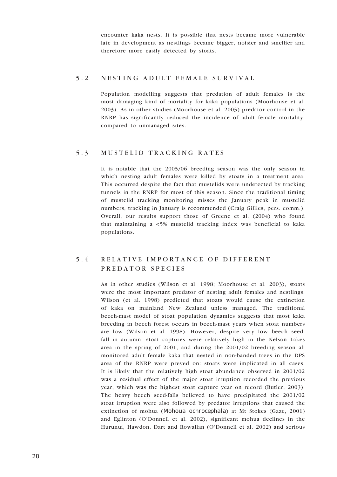encounter kaka nests. It is possible that nests became more vulnerable late in development as nestlings became bigger, noisier and smellier and therefore more easily detected by stoats.

#### 5.2 NESTING ADULT FEMALE SURVIVAL

Population modelling suggests that predation of adult females is the most damaging kind of mortality for kaka populations (Moorhouse et al. 2003). As in other studies (Moorhouse et al. 2003) predator control in the RNRP has significantly reduced the incidence of adult female mortality, compared to unmanaged sites.

#### 5.3 MUSTELID TRACKING RATES

It is notable that the 2005/06 breeding season was the only season in which nesting adult females were killed by stoats in a treatment area. This occurred despite the fact that mustelids were undetected by tracking tunnels in the RNRP for most of this season. Since the traditional timing of mustelid tracking monitoring misses the January peak in mustelid numbers, tracking in January is recommended (Craig Gillies, pers. comm.). Overall, our results support those of Greene et al. (2004) who found that maintaining a <5% mustelid tracking index was beneficial to kaka populations.

## 5 . 4 R E L A T I V E I M P O R T A N C E O F D I F F E R E N T PREDATOR SPECIES

As in other studies (Wilson et al. 1998; Moorhouse et al. 2003), stoats were the most important predator of nesting adult females and nestlings. Wilson (et al. 1998) predicted that stoats would cause the extinction of kaka on mainland New Zealand unless managed. The traditional beech-mast model of stoat population dynamics suggests that most kaka breeding in beech forest occurs in beech-mast years when stoat numbers are low (Wilson et al. 1998). However, despite very low beech seedfall in autumn, stoat captures were relatively high in the Nelson Lakes area in the spring of 2001, and during the 2001/02 breeding season all monitored adult female kaka that nested in non-banded trees in the DPS area of the RNRP were preyed on: stoats were implicated in all cases. It is likely that the relatively high stoat abundance observed in 2001/02 was a residual effect of the major stoat irruption recorded the previous year, which was the highest stoat capture year on record (Butler, 2003). The heavy beech seed-falls believed to have precipitated the 2001/02 stoat irruption were also followed by predator irruptions that caused the extinction of mohua (Mohoua ochrocephala) at Mt Stokes (Gaze, 2001) and Eglinton (O'Donnell et al. 2002), significant mohua declines in the Hurunui, Hawdon, Dart and Rowallan (O'Donnell et al. 2002) and serious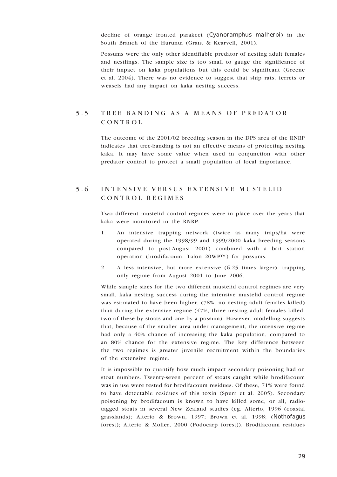decline of orange fronted parakeet (Cyanoramphus malherbi) in the South Branch of the Hurunui (Grant & Kearvell, 2001).

Possums were the only other identifiable predator of nesting adult females and nestlings. The sample size is too small to gauge the significance of their impact on kaka populations but this could be significant (Greene et al. 2004). There was no evidence to suggest that ship rats, ferrets or weasels had any impact on kaka nesting success.

## 5 . 5 T R E E B A N D I N G A S A M E A N S O F P R E D A T O R CONTROL

The outcome of the 2001/02 breeding season in the DPS area of the RNRP indicates that tree-banding is not an effective means of protecting nesting kaka. It may have some value when used in conjunction with other predator control to protect a small population of local importance.

## 5 . 6 I N T E N S I V E V E R S U S E X T E N S I V E M U S T E L I D CONTROL REGIMES

Two different mustelid control regimes were in place over the years that kaka were monitored in the RNRP:

- 1. An intensive trapping network (twice as many traps/ha were operated during the 1998/99 and 1999/2000 kaka breeding seasons compared to post-August 2001) combined with a bait station operation (brodifacoum; Talon 20WP™) for possums.
- 2. A less intensive, but more extensive (6.25 times larger), trapping only regime from August 2001 to June 2006.

While sample sizes for the two different mustelid control regimes are very small, kaka nesting success during the intensive mustelid control regime was estimated to have been higher, (78%, no nesting adult females killed) than during the extensive regime (47%, three nesting adult females killed, two of these by stoats and one by a possum). However, modelling suggests that, because of the smaller area under management, the intensive regime had only a 40% chance of increasing the kaka population, compared to an 80% chance for the extensive regime. The key difference between the two regimes is greater juvenile recruitment within the boundaries of the extensive regime.

It is impossible to quantify how much impact secondary poisoning had on stoat numbers. Twenty-seven percent of stoats caught while brodifacoum was in use were tested for brodifacoum residues. Of these, 71% were found to have detectable residues of this toxin (Spurr et al. 2005). Secondary poisoning by brodifacoum is known to have killed some, or all, radiotagged stoats in several New Zealand studies (eg. Alterio, 1996 (coastal grasslands); Alterio & Brown, 1997; Brown et al. 1998; (Nothofagus forest); Alterio & Moller, 2000 (Podocarp forest)). Brodifacoum residues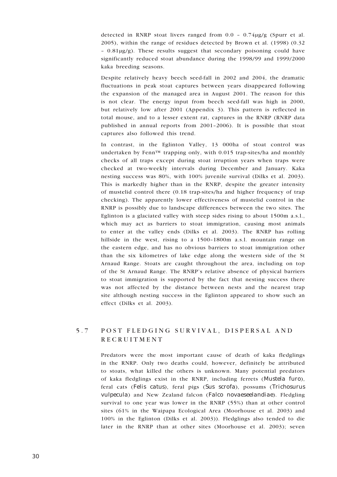detected in RNRP stoat livers ranged from  $0.0 - 0.74\mu g/g$  (Spurr et al. 2005), within the range of residues detected by Brown et al. (1998) (0.32  $-0.81\mu g/g$ ). These results suggest that secondary poisoning could have significantly reduced stoat abundance during the 1998/99 and 1999/2000 kaka breeding seasons.

Despite relatively heavy beech seed-fall in 2002 and 2004, the dramatic fluctuations in peak stoat captures between years disappeared following the expansion of the managed area in August 2001. The reason for this is not clear. The energy input from beech seed-fall was high in 2000, but relatively low after 2001 (Appendix 3). This pattern is reflected in total mouse, and to a lesser extent rat, captures in the RNRP (RNRP data published in annual reports from 2001–2006). It is possible that stoat captures also followed this trend.

In contrast, in the Eglinton Valley, 13 000ha of stoat control was undertaken by Fenn<sup>™</sup> trapping only, with 0.015 trap-sites/ha and monthly checks of all traps except during stoat irruption years when traps were checked at two-weekly intervals during December and January. Kaka nesting success was 80%, with 100% juvenile survival (Dilks et al. 2003). This is markedly higher than in the RNRP, despite the greater intensity of mustelid control there (0.18 trap-sites/ha and higher frequency of trap checking). The apparently lower effectiveness of mustelid control in the RNRP is possibly due to landscape differences between the two sites. The Eglinton is a glaciated valley with steep sides rising to about 1500m a.s.l., which may act as barriers to stoat immigration, causing most animals to enter at the valley ends (Dilks et al. 2003). The RNRP has rolling hillside in the west, rising to a 1500–1800m a.s.l. mountain range on the eastern edge, and has no obvious barriers to stoat immigration other than the six kilometres of lake edge along the western side of the St Arnaud Range. Stoats are caught throughout the area, including on top of the St Arnaud Range. The RNRP's relative absence of physical barriers to stoat immigration is supported by the fact that nesting success there was not affected by the distance between nests and the nearest trap site although nesting success in the Eglinton appeared to show such an effect (Dilks et al. 2003).

## 5.7 POST FLEDGING SURVIVAL, DISPERSAL AND RECRUITMENT

Predators were the most important cause of death of kaka fledglings in the RNRP. Only two deaths could, however, definitely be attributed to stoats, what killed the others is unknown. Many potential predators of kaka fledglings exist in the RNRP, including ferrets (Mustela furo), feral cats (Felis catus), feral pigs (Sus scrofa), possums (Trichosurus vulpecula) and New Zealand falcon (Falco novaeseelandiae). Fledgling survival to one year was lower in the RNRP (55%) than at other control sites (61% in the Waipapa Ecological Area (Moorhouse et al. 2003) and 100% in the Eglinton (Dilks et al. 2003)). Fledglings also tended to die later in the RNRP than at other sites (Moorhouse et al. 2003); seven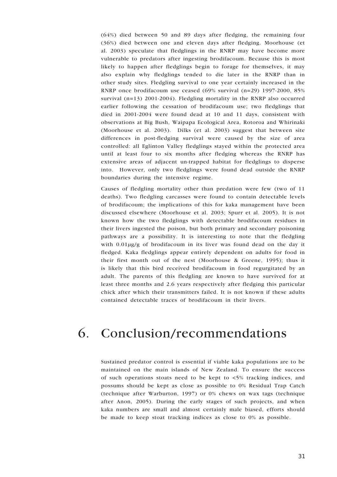(64%) died between 50 and 89 days after fledging, the remaining four (36%) died between one and eleven days after fledging. Moorhouse (et al. 2003) speculate that fledglings in the RNRP may have become more vulnerable to predators after ingesting brodifacoum. Because this is most likely to happen after fledglings begin to forage for themselves, it may also explain why fledglings tended to die later in the RNRP than in other study sites. Fledgling survival to one year certainly increased in the RNRP once brodifacoum use ceased (69% survival (n=29) 1997-2000, 85% survival  $(n=13)$  2001-2004). Fledgling mortality in the RNRP also occurred earlier following the cessation of brodifacoum use; two fledglings that died in 2001-2004 were found dead at 10 and 11 days, consistent with observations at Big Bush, Waipapa Ecological Area, Rotoroa and Whirinaki (Moorhouse et al. 2003). Dilks (et al. 2003) suggest that between site differences in post-fledging survival were caused by the size of area controlled: all Eglinton Valley fledglings stayed within the protected area until at least four to six months after fledging whereas the RNRP has extensive areas of adjacent un-trapped habitat for fledglings to disperse into. However, only two fledglings were found dead outside the RNRP boundaries during the intensive regime.

Causes of fledgling mortality other than predation were few (two of 11 deaths). Two fledgling carcasses were found to contain detectable levels of brodifacoum; the implications of this for kaka management have been discussed elsewhere (Moorhouse et al. 2003; Spurr et al. 2005). It is not known how the two fledglings with detectable brodifacoum residues in their livers ingested the poison, but both primary and secondary poisoning pathways are a possibility. It is interesting to note that the fledgling with 0.01μg/g of brodifacoum in its liver was found dead on the day it fledged. Kaka fledglings appear entirely dependent on adults for food in their first month out of the nest (Moorhouse & Greene, 1995); thus it is likely that this bird received brodifacoum in food regurgitated by an adult. The parents of this fledgling are known to have survived for at least three months and 2.6 years respectively after fledging this particular chick after which their transmitters failed. It is not known if these adults contained detectable traces of brodifacoum in their livers.

## 6. Conclusion/recommendations

Sustained predator control is essential if viable kaka populations are to be maintained on the main islands of New Zealand. To ensure the success of such operations stoats need to be kept to <5% tracking indices, and possums should be kept as close as possible to 0% Residual Trap Catch (technique after Warburton, 1997) or 0% chews on wax tags (technique after Anon, 2005). During the early stages of such projects, and when kaka numbers are small and almost certainly male biased, efforts should be made to keep stoat tracking indices as close to 0% as possible.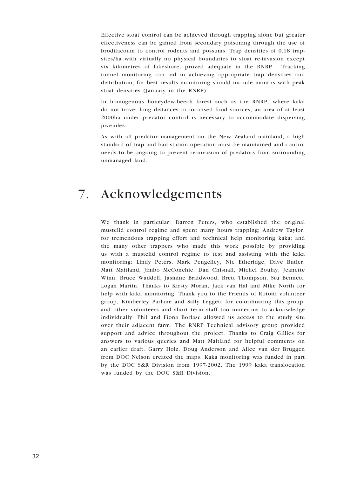Effective stoat control can be achieved through trapping alone but greater effectiveness can be gained from secondary poisoning through the use of brodifacoum to control rodents and possums. Trap densities of 0.18 trapsites/ha with virtually no physical boundaries to stoat re-invasion except six kilometres of lakeshore, proved adequate in the RNRP. Tracking tunnel monitoring can aid in achieving appropriate trap densities and distribution; for best results monitoring should include months with peak stoat densities (January in the RNRP).

In homogenous honeydew-beech forest such as the RNRP, where kaka do not travel long distances to localised food sources, an area of at least 2000ha under predator control is necessary to accommodate dispersing juveniles.

As with all predator management on the New Zealand mainland, a high standard of trap and bait-station operation must be maintained and control needs to be ongoing to prevent re-invasion of predators from surrounding unmanaged land.

## 7. Acknowledgements

We thank in particular: Darren Peters, who established the original mustelid control regime and spent many hours trapping; Andrew Taylor, for tremendous trapping effort and technical help monitoring kaka; and the many other trappers who made this work possible by providing us with a mustelid control regime to test and assisting with the kaka monitoring: Lindy Peters, Mark Pengelley, Nic Etheridge, Dave Butler, Matt Maitland, Jimbo McConchie, Dan Chisnall, Michel Boulay, Jeanette Winn, Bruce Waddell, Jasmine Braidwood, Brett Thompson, Stu Bennett, Logan Martin. Thanks to Kirsty Moran, Jack van Hal and Mike North for help with kaka monitoring. Thank you to the Friends of Rotoiti volunteer group, Kimberley Parlane and Sally Leggett for co-ordinating this group, and other volunteers and short term staff too numerous to acknowledge individually. Phil and Fiona Borlase allowed us access to the study site over their adjacent farm. The RNRP Technical advisory group provided support and advice throughout the project. Thanks to Craig Gillies for answers to various queries and Matt Maitland for helpful comments on an earlier draft. Garry Holz, Doug Anderson and Alice van der Bruggen from DOC Nelson created the maps. Kaka monitoring was funded in part by the DOC S&R Division from 1997-2002. The 1999 kaka translocation was funded by the DOC S&R Division.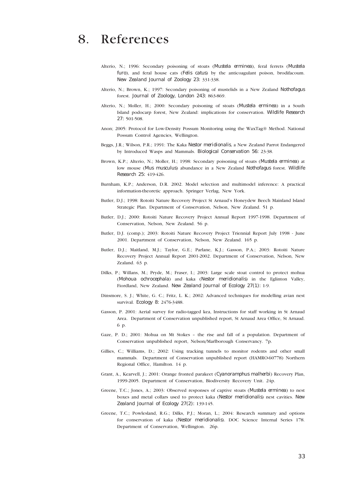## 8. References

- Alterio, N.; 1996: Secondary poisoning of stoats (Mustela erminea), feral ferrets (Mustela furo), and feral house cats (*Felis catus*) by the anticoagulant poison, brodifacoum. New Zealand Journal of Zoology 23: 331-338.
- Alterio, N.; Brown, K.; 1997: Secondary poisoning of mustelids in a New Zealand Nothofagus forest. Journal of Zoology, London 243: 863-869.
- Alterio, N.; Moller, H.; 2000: Secondary poisoning of stoats (*Mustela erminea*) in a South Island podocarp forest, New Zealand: implications for conservation. Wildlife Research 27: 501-508.
- Anon; 2005: Protocol for Low-Density Possum Monitoring using the WaxTag® Method. National Possum Control Agencies, Wellington.
- Beggs, J.R.; Wilson, P.R.; 1991: The Kaka Nestor meridionalis, a New Zealand Parrot Endangered by Introduced Wasps and Mammals. Biological Conservation 56: 23-38.
- Brown, K.P.; Alterio, N.; Moller, H.; 1998: Secondary poisoning of stoats (Mustela erminea) at low mouse (Mus musculus) abundance in a New Zealand Nothofagus forest. Wildlife Research 25: 419-426.
- Burnham, K.P.; Anderson, D.R. 2002. Model selection and multimodel inference: A practical information-theoretic approach. Springer Verlag, New York.
- Butler, D.J.; 1998: Rotoiti Nature Recovery Project St Arnaud's Honeydew Beech Mainland Island Strategic Plan. Department of Conservation, Nelson, New Zealand. 51 p.
- Butler, D.J.; 2000: Rotoiti Nature Recovery Project Annual Report 1997-1998. Department of Conservation, Nelson, New Zealand. 56 p.
- Butler, D.J. (comp.); 2003: Rotoiti Nature Recovery Project Triennial Report July 1998 June 2001. Department of Conservation, Nelson, New Zealand. 165 p.
- Butler, D.J.; Maitland, M.J.; Taylor, G.E.; Parlane, K.J.; Gasson, P.A.; 2003: Rotoiti Nature Recovery Project Annual Report 2001-2002. Department of Conservation, Nelson, New Zealand. 63 p.
- Dilks, P.; Willans, M.; Pryde, M.; Fraser, I.; 2003: Large scale stoat control to protect mohua (Mohoua ochrocephala) and kaka (Nestor meridionalis) in the Eglinton Valley, Fiordland, New Zealand. New Zealand Journal of Ecology 27(1): 1-9.
- Dinsmore, S. J.; White, G. C.; Fritz, L. K.; 2002: Advanced techniques for modelling avian nest survival. Ecology 8: 2476-3488.
- Gasson, P. 2001: Aerial survey for radio-tagged kea, Instructions for staff working in St Arnaud Area. Department of Conservation unpublished report, St Arnaud Area Office, St Arnaud. 6 p.
- Gaze, P. D.; 2001: Mohua on Mt Stokes the rise and fall of a population. Department of Conservation unpublished report, Nelson/Marlborough Conservancy. 7p.
- Gillies, C.; Williams, D.; 2002: Using tracking tunnels to monitor rodents and other small mammals. Department of Conservation unpublished report (HAMRO-60778) Northern Regional Office, Hamilton. 14 p.
- Grant, A., Kearvell, J.; 2001: Orange fronted parakeet (Cyanoramphus malherbi) Recovery Plan, 1999-2005. Department of Conservation, Biodiversity Recovery Unit. 24p.
- Greene, T.C.; Jones, A.; 2003: Observed responses of captive stoats (Mustela erminea) to nest boxes and metal collars used to protect kaka (Nestor meridionalis) nest cavities. New Zealand Journal of Ecology 27(2): 139-145.
- Greene, T.C.; Powlesland, R.G.; Dilks, P.J.; Moran, L.; 2004: Research summary and options for conservation of kaka (Nestor meridionalis). DOC Science Internal Series 178. Department of Conservation, Wellington. 26p.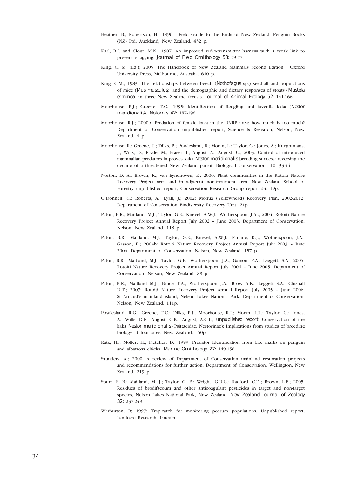- Heather, B.; Robertson, H.; 1996: Field Guide to the Birds of New Zealand. Penguin Books (NZ) Ltd, Auckland, New Zealand. 432 p.
- Karl, B.J. and Clout, M.N.; 1987: An improved radio-transmitter harness with a weak link to prevent snagging. Journal of Field Ornithology 58: 73-77.
- King, C. M. (Ed.); 2005: The Handbook of New Zealand Mammals Second Edition. Oxford University Press, Melbourne, Australia. 610 p.
- King, C.M.; 1983: The relationships between beech (Nothofagus sp.) seedfall and populations of mice (Mus musculus), and the demographic and dietary responses of stoats (Mustela erminea, in three New Zealand forests. Journal of Animal Ecology 52: 141-166.
- Moorhouse, R.J.; Greene, T.C.; 1995: Identification of fledgling and juvenile kaka (Nestor meridionalis). Notornis 42: 187-196.
- Moorhouse, R.J.; 2000b: Predation of female kaka in the RNRP area: how much is too much? Department of Conservation unpublished report, Science & Research, Nelson, New Zealand. 4 p.
- Moorhouse, R.; Greene, T.; Dilks, P.; Powlesland, R.; Moran, L.; Taylor, G.; Jones, A.; Kneghtmans, J.; Wills, D.; Pryde, M.; Fraser, I.; August, A.; August, C.; 2003: Control of introduced mammalian predators improves kaka Nestor meridionalis breeding success: reversing the decline of a threatened New Zealand parrot. Biological Conservation 110: 33-44.
- Norton, D. A.; Brown, R.; van Eyndhoven, E.; 2000: Plant communities in the Rotoiti Nature Recovery Project area and in adjacent non-treatment area. New Zealand School of Forestry unpublished report, Conservation Research Group report #4. 19p.
- O'Donnell, C.; Roberts, A.; Lyall, J.; 2002: Mohua (Yellowhead) Recovery Plan, 2002-2012. Department of Conservation Biodiversity Recovery Unit. 21p.
- Paton, B.R.; Maitland, M.J.; Taylor, G.E.; Knevel, A.W.J.; Wotherspoon, J.A..; 2004: Rotoiti Nature Recovery Project Annual Report July 2002 – June 2003. Department of Conservation, Nelson, New Zealand. 118 p.
- Paton, B.R.; Maitland, M.J., Taylor, G.E.; Knevel, A.W.J.; Parlane, K.J.; Wotherspoon, J.A.; Gasson, P.; 2004b: Rotoiti Nature Recovery Project Annual Report July 2003 – June 2004. Department of Conservation, Nelson, New Zealand. 157 p.
- Paton, B.R.; Maitland, M.J.; Taylor, G.E.; Wotherspoon, J.A.; Gasson, P.A.; Leggett, S.A.; 2005: Rotoiti Nature Recovery Project Annual Report July 2004 – June 2005. Department of Conservation, Nelson, New Zealand. 89 p.
- Paton, B.R.; Maitland M.J.; Bruce T.A.; Wotherspoon J.A.; Brow A.K.; Leggett S.A.; Chisnall D.T.; 2007: Rotoiti Nature Recovery Project Annual Report July 2005 – June 2006: St Arnaud's mainland island, Nelson Lakes National Park. Department of Conservation, Nelson, New Zealand. 111p.
- Powlesland, R.G.; Greene, T.C.; Dilks, P.J.; Moorhouse, R.J.; Moran, L.R.; Taylor, G.; Jones, A.; Wills, D.E.; August, C.K.; August, A.C.L.; unpublished report: Conservation of the kaka Nestor meridionalis (Psittacidae, Nestorinae): Implications from studies of breeding biology at four sites, New Zealand. 50p.
- Ratz, H..; Moller, H.; Fletcher, D.; 1999: Predator Identification from bite marks on penguin and albatross chicks. Marine Ornithology 27: 149-156.
- Saunders, A.; 2000: A review of Department of Conservation mainland restoration projects and recommendations for further action. Department of Conservation, Wellington, New Zealand. 219 p.
- Spurr, E. B.; Maitland, M. J.; Taylor, G. E.; Wright, G.R.G.; Radford, C.D.; Brown, L.E.; 2005: Residues of brodifacoum and other anticoagulant pesticides in target and non-target species, Nelson Lakes National Park, New Zealand. New Zealand Journal of Zoology 32: 237-249.
- Warburton, B; 1997: Trap-catch for monitoring possum populations. Unpublished report, Landcare Research, Lincoln.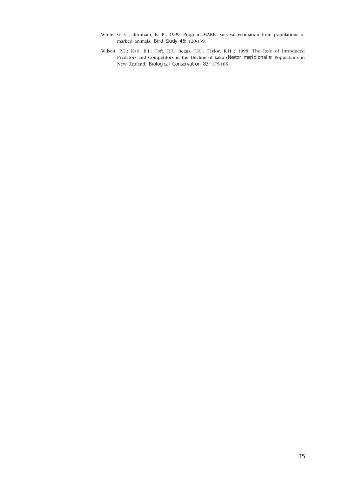- White, G. C.; Burnham, K. P.; 1999: Program MARK: survival estimation from populations of marked animals. Bird Study 46: 120-139.
- Wilson, P.L.; Karl, B.J.; Toft, R.J.; Beggs, J.R..; Taylor, R.H..; 1998: The Role of Introduced Predators and Competitors in the Decline of kaka (Nestor meridionalis) Populations in New Zealand. Biological Conservation 83: 175-185.

.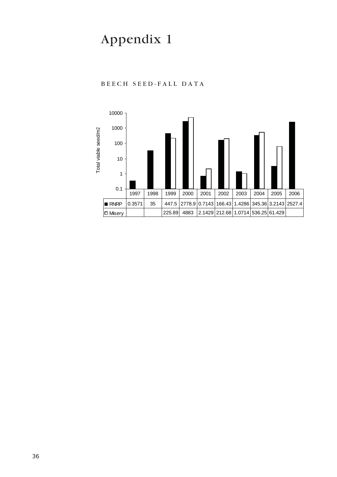# Appendix 1



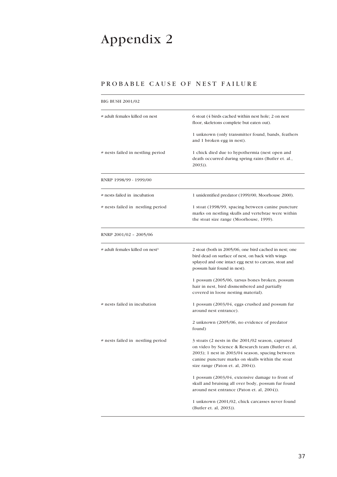# Appendix 2

### PROBABLE CAUSE OF NEST FAILURE

| BIG BUSH 2001/02                            |                                                                                                                                                                                                                                                               |  |
|---------------------------------------------|---------------------------------------------------------------------------------------------------------------------------------------------------------------------------------------------------------------------------------------------------------------|--|
| # adult females killed on nest              | 6 stoat (4 birds cached within nest hole; 2 on nest<br>floor, skeletons complete but eaten out).                                                                                                                                                              |  |
|                                             | 1 unknown (only transmitter found, bands, feathers<br>and 1 broken egg in nest).                                                                                                                                                                              |  |
| # nests failed in nestling period           | 1 chick died due to hypothermia (nest open and<br>death occurred during spring rains (Butler et. al.,<br>$2003)$ ).                                                                                                                                           |  |
| RNRP 1998/99 - 1999/00                      |                                                                                                                                                                                                                                                               |  |
| # nests failed in incubation                | 1 unidentified predator (1999/00, Moorhouse 2000).                                                                                                                                                                                                            |  |
| # nests failed in nestling period           | 1 stoat (1998/99, spacing between canine puncture<br>marks on nestling skulls and vertebrae were within<br>the stoat size range (Moorhouse, 1999).                                                                                                            |  |
| RNRP 2001/02 - 2005/06                      |                                                                                                                                                                                                                                                               |  |
| # adult females killed on nest <sup>1</sup> | 2 stoat (both in 2005/06, one bird cached in nest; one<br>bird dead on surface of nest, on back with wings<br>splayed and one intact egg next to carcass, stoat and<br>possum hair found in nest).                                                            |  |
|                                             | 1 possum (2005/06, tarsus bones broken, possum<br>hair in nest, bird dismembered and partially<br>covered in loose nesting material).                                                                                                                         |  |
| # nests failed in incubation                | 1 possum (2003/04, eggs crushed and possum fur<br>around nest entrance).                                                                                                                                                                                      |  |
|                                             | 2 unknown (2005/06, no evidence of predator<br>found)                                                                                                                                                                                                         |  |
| # nests failed in nestling period           | 3 stoats (2 nests in the 2001/02 season, captured<br>on video by Science & Research team (Butler et. al,<br>$2003$ ); 1 nest in $2003/04$ season, spacing between<br>canine puncture marks on skulls within the stoat<br>size range (Paton et. al, $2004$ )). |  |
|                                             | 1 possum (2003/04, extensive damage to front of<br>skull and bruising all over body, possum fur found<br>around nest entrance (Paton et. al, 2004)).                                                                                                          |  |
|                                             | 1 unknown (2001/02, chick carcasses never found<br>(Butler et. al, 2003)).                                                                                                                                                                                    |  |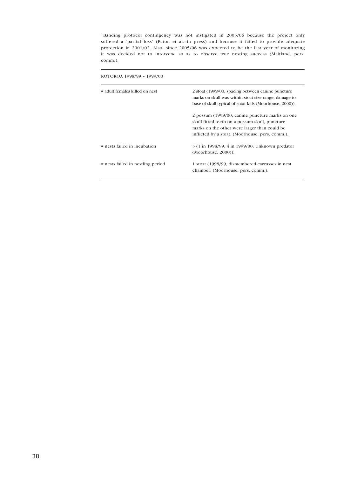<sup>1</sup>Banding protocol contingency was not instigated in 2005/06 because the project only suffered a 'partial loss' (Paton et al. in press) and because it failed to provide adequate protection in 2001/02. Also, since 2005/06 was expected to be the last year of monitoring it was decided not to intervene so as to observe true nesting success (Maitland, pers. comm.).

| ROTOROA 1998/99 - 1999/00         |                                                                                                                                                                                                      |  |  |  |
|-----------------------------------|------------------------------------------------------------------------------------------------------------------------------------------------------------------------------------------------------|--|--|--|
| # adult females killed on nest    | 2 stoat (1999/00, spacing between canine puncture<br>marks on skull was within stoat size range, damage to<br>base of skull typical of stoat kills (Moorhouse, 2000)).                               |  |  |  |
|                                   | 2 possum (1999/00, canine puncture marks on one<br>skull fitted teeth on a possum skull, puncture<br>marks on the other were larger than could be<br>inflicted by a stoat. (Moorhouse, pers. comm.). |  |  |  |
| # nests failed in incubation      | 5 (1 in 1998/99, 4 in 1999/00. Unknown predator<br>$(Moorhouse, 2000)$ ).                                                                                                                            |  |  |  |
| # nests failed in nestling period | 1 stoat (1998/99, dismembered carcasses in nest<br>chamber. (Moorhouse, pers. comm.).                                                                                                                |  |  |  |